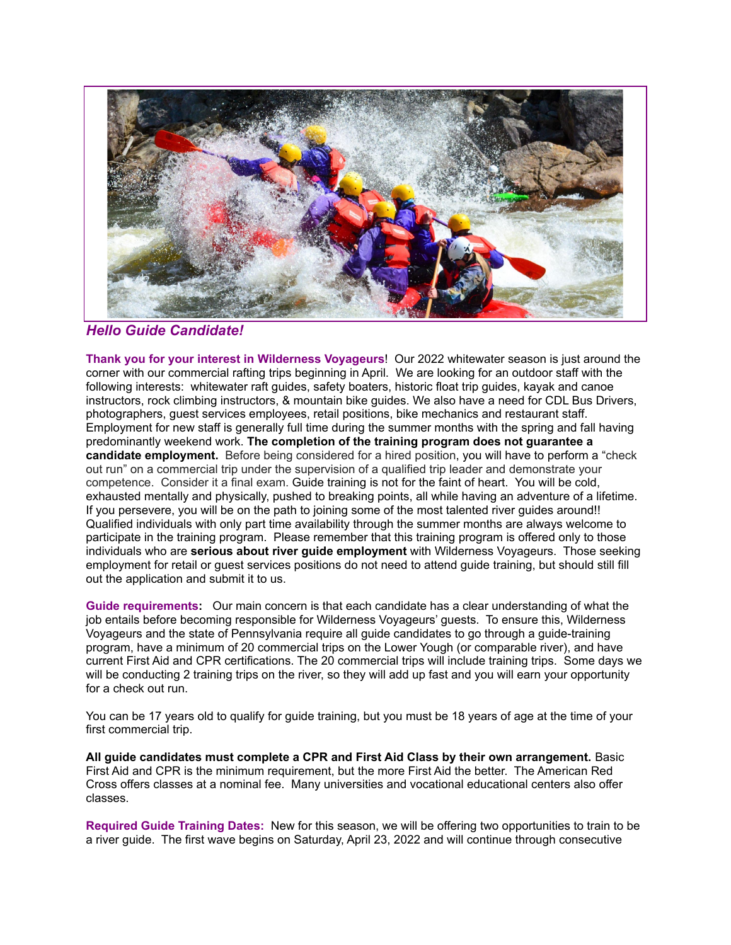

*Hello Guide Candidate!*

**Thank you for your interest in Wilderness Voyageurs**! Our 2022 whitewater season is just around the corner with our commercial rafting trips beginning in April. We are looking for an outdoor staff with the following interests: whitewater raft guides, safety boaters, historic float trip guides, kayak and canoe instructors, rock climbing instructors, & mountain bike guides. We also have a need for CDL Bus Drivers, photographers, guest services employees, retail positions, bike mechanics and restaurant staff. Employment for new staff is generally full time during the summer months with the spring and fall having predominantly weekend work. **The completion of the training program does not guarantee a candidate employment.** Before being considered for a hired position, you will have to perform a "check out run" on a commercial trip under the supervision of a qualified trip leader and demonstrate your competence. Consider it a final exam. Guide training is not for the faint of heart. You will be cold, exhausted mentally and physically, pushed to breaking points, all while having an adventure of a lifetime. If you persevere, you will be on the path to joining some of the most talented river guides around!! Qualified individuals with only part time availability through the summer months are always welcome to participate in the training program. Please remember that this training program is offered only to those individuals who are **serious about river guide employment** with Wilderness Voyageurs. Those seeking employment for retail or guest services positions do not need to attend guide training, but should still fill out the application and submit it to us.

**Guide requirements:** Our main concern is that each candidate has a clear understanding of what the job entails before becoming responsible for Wilderness Voyageurs' guests. To ensure this, Wilderness Voyageurs and the state of Pennsylvania require all guide candidates to go through a guide-training program, have a minimum of 20 commercial trips on the Lower Yough (or comparable river), and have current First Aid and CPR certifications. The 20 commercial trips will include training trips. Some days we will be conducting 2 training trips on the river, so they will add up fast and you will earn your opportunity for a check out run.

You can be 17 years old to qualify for guide training, but you must be 18 years of age at the time of your first commercial trip.

**All guide candidates must complete a CPR and First Aid Class by their own arrangement.** Basic First Aid and CPR is the minimum requirement, but the more First Aid the better. The American Red Cross offers classes at a nominal fee. Many universities and vocational educational centers also offer classes.

**Required Guide Training Dates:** New for this season, we will be offering two opportunities to train to be a river guide. The first wave begins on Saturday, April 23, 2022 and will continue through consecutive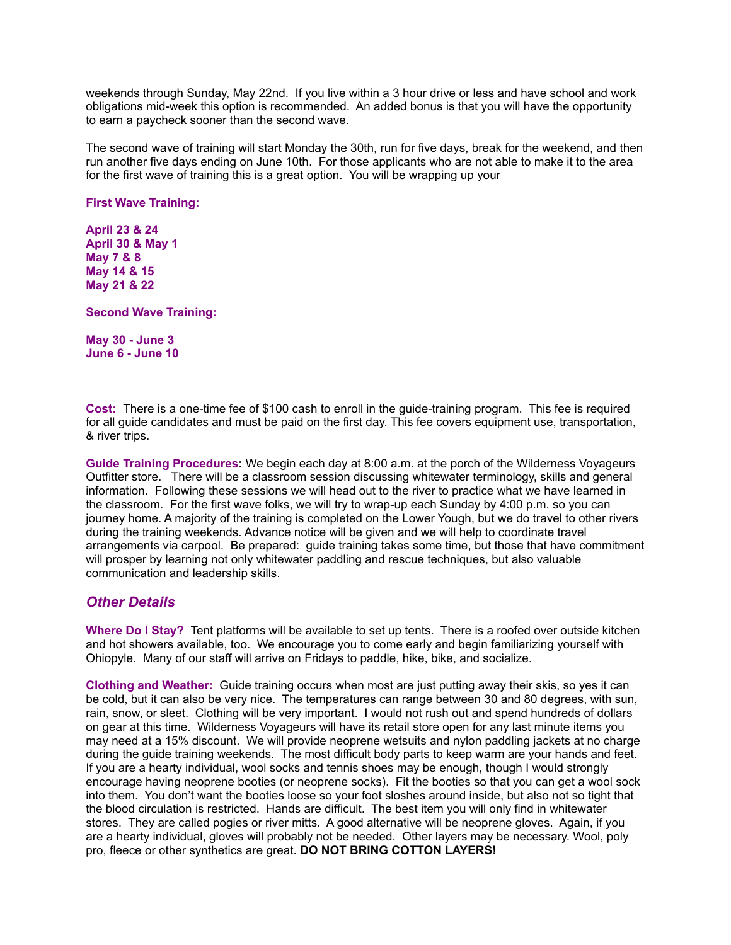weekends through Sunday, May 22nd. If you live within a 3 hour drive or less and have school and work obligations mid-week this option is recommended. An added bonus is that you will have the opportunity to earn a paycheck sooner than the second wave.

The second wave of training will start Monday the 30th, run for five days, break for the weekend, and then run another five days ending on June 10th. For those applicants who are not able to make it to the area for the first wave of training this is a great option. You will be wrapping up your

**First Wave Training:**

**April 23 & 24 April 30 & May 1 May 7 & 8 May 14 & 15 May 21 & 22**

**Second Wave Training:**

**May 30 - June 3 June 6 - June 10**

**Cost:** There is a one-time fee of \$100 cash to enroll in the guide-training program. This fee is required for all guide candidates and must be paid on the first day. This fee covers equipment use, transportation, & river trips.

**Guide Training Procedures:** We begin each day at 8:00 a.m. at the porch of the Wilderness Voyageurs Outfitter store. There will be a classroom session discussing whitewater terminology, skills and general information. Following these sessions we will head out to the river to practice what we have learned in the classroom. For the first wave folks, we will try to wrap-up each Sunday by 4:00 p.m. so you can journey home. A majority of the training is completed on the Lower Yough, but we do travel to other rivers during the training weekends. Advance notice will be given and we will help to coordinate travel arrangements via carpool. Be prepared: guide training takes some time, but those that have commitment will prosper by learning not only whitewater paddling and rescue techniques, but also valuable communication and leadership skills.

## *Other Details*

**Where Do I Stay?** Tent platforms will be available to set up tents. There is a roofed over outside kitchen and hot showers available, too. We encourage you to come early and begin familiarizing yourself with Ohiopyle. Many of our staff will arrive on Fridays to paddle, hike, bike, and socialize.

**Clothing and Weather:** Guide training occurs when most are just putting away their skis, so yes it can be cold, but it can also be very nice. The temperatures can range between 30 and 80 degrees, with sun, rain, snow, or sleet. Clothing will be very important. I would not rush out and spend hundreds of dollars on gear at this time. Wilderness Voyageurs will have its retail store open for any last minute items you may need at a 15% discount. We will provide neoprene wetsuits and nylon paddling jackets at no charge during the guide training weekends. The most difficult body parts to keep warm are your hands and feet. If you are a hearty individual, wool socks and tennis shoes may be enough, though I would strongly encourage having neoprene booties (or neoprene socks). Fit the booties so that you can get a wool sock into them. You don't want the booties loose so your foot sloshes around inside, but also not so tight that the blood circulation is restricted. Hands are difficult. The best item you will only find in whitewater stores. They are called pogies or river mitts. A good alternative will be neoprene gloves. Again, if you are a hearty individual, gloves will probably not be needed. Other layers may be necessary. Wool, poly pro, fleece or other synthetics are great. **DO NOT BRING COTTON LAYERS!**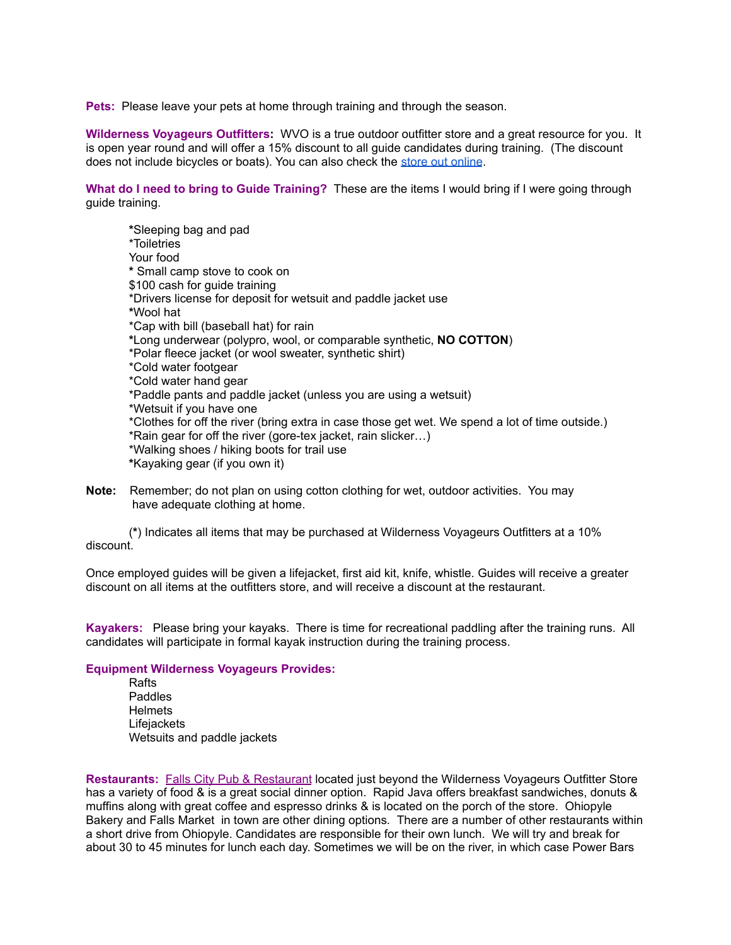**Pets:** Please leave your pets at home through training and through the season.

**Wilderness Voyageurs Outfitters:** WVO is a true outdoor outfitter store and a great resource for you. It is open year round and will offer a 15% discount to all guide candidates during training. (The discount does not include bicycles or boats). You can also check the store out [online](https://wilderness-voyageurs.com/store-ohiopyle/).

**What do I need to bring to Guide Training?** These are the items I would bring if I were going through guide training.

**\***Sleeping bag and pad \*Toiletries Your food **\*** Small camp stove to cook on \$100 cash for guide training \*Drivers license for deposit for wetsuit and paddle jacket use **\***Wool hat \*Cap with bill (baseball hat) for rain **\***Long underwear (polypro, wool, or comparable synthetic, **NO COTTON**) \*Polar fleece jacket (or wool sweater, synthetic shirt) \*Cold water footgear \*Cold water hand gear \*Paddle pants and paddle jacket (unless you are using a wetsuit) \*Wetsuit if you have one \*Clothes for off the river (bring extra in case those get wet. We spend a lot of time outside.) \*Rain gear for off the river (gore-tex jacket, rain slicker…) \*Walking shoes / hiking boots for trail use **\***Kayaking gear (if you own it)

**Note:** Remember; do not plan on using cotton clothing for wet, outdoor activities. You may have adequate clothing at home.

(**\***) Indicates all items that may be purchased at Wilderness Voyageurs Outfitters at a 10% discount.

Once employed guides will be given a lifejacket, first aid kit, knife, whistle. Guides will receive a greater discount on all items at the outfitters store, and will receive a discount at the restaurant.

**Kayakers:** Please bring your kayaks. There is time for recreational paddling after the training runs. All candidates will participate in formal kayak instruction during the training process.

## **Equipment Wilderness Voyageurs Provides:**

Rafts Paddles Helmets **Lifejackets** Wetsuits and paddle jackets

**Restaurants:** Falls City Pub & [Restaurant](http://www.fallscitypub.com) located just beyond the Wilderness Voyageurs Outfitter Store has a variety of food & is a great social dinner option. Rapid Java offers breakfast sandwiches, donuts & muffins along with great coffee and espresso drinks & is located on the porch of the store. Ohiopyle Bakery and Falls Market in town are other dining options*.* There are a number of other restaurants within a short drive from Ohiopyle. Candidates are responsible for their own lunch. We will try and break for about 30 to 45 minutes for lunch each day. Sometimes we will be on the river, in which case Power Bars